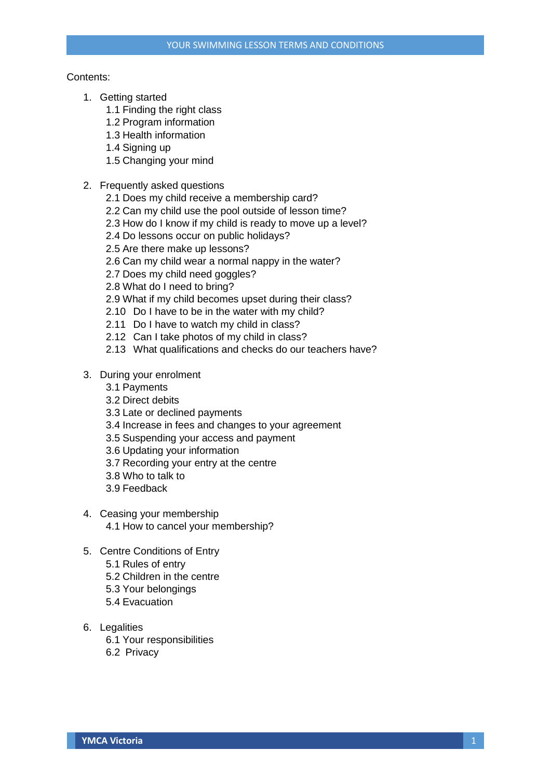## Contents:

- 1. Getting started
	- 1.1 Finding the right class
	- 1.2 Program information
	- 1.3 Health information
	- 1.4 Signing up
	- 1.5 Changing your mind
- 2. Frequently asked questions
	- 2.1 Does my child receive a membership card?
	- 2.2 Can my child use the pool outside of lesson time?
	- 2.3 How do I know if my child is ready to move up a level?
	- 2.4 Do lessons occur on public holidays?
	- 2.5 Are there make up lessons?
	- 2.6 Can my child wear a normal nappy in the water?
	- 2.7 Does my child need goggles?
	- 2.8 What do I need to bring?
	- 2.9 What if my child becomes upset during their class?
	- 2.10 Do I have to be in the water with my child?
	- 2.11 Do I have to watch my child in class?
	- 2.12 Can I take photos of my child in class?
	- 2.13 What qualifications and checks do our teachers have?
- 3. During your enrolment
	- 3.1 Payments
	- 3.2 Direct debits
	- 3.3 Late or declined payments
	- 3.4 Increase in fees and changes to your agreement
	- 3.5 Suspending your access and payment
	- 3.6 Updating your information
	- 3.7 Recording your entry at the centre
	- 3.8 Who to talk to
	- 3.9 Feedback
- 4. Ceasing your membership 4.1 How to cancel your membership?
- 5. Centre Conditions of Entry
	- 5.1 Rules of entry
	- 5.2 Children in the centre
	- 5.3 Your belongings
	- 5.4 Evacuation
- 6. Legalities
	- 6.1 Your responsibilities
	- 6.2 Privacy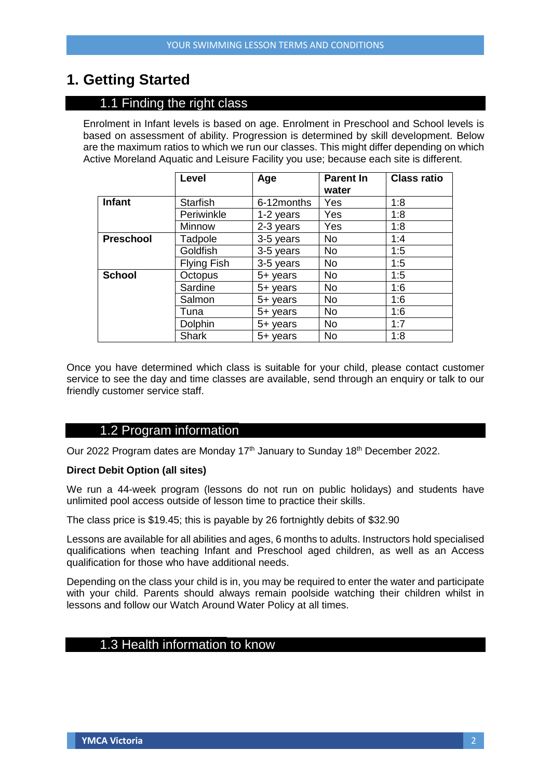# **1. Getting Started**

# 1.1 Finding the right class

Enrolment in Infant levels is based on age. Enrolment in Preschool and School levels is based on assessment of ability. Progression is determined by skill development. Below are the maximum ratios to which we run our classes. This might differ depending on which Active Moreland Aquatic and Leisure Facility you use; because each site is different.

|                  | Level              | Age        | <b>Parent In</b><br>water | <b>Class ratio</b> |
|------------------|--------------------|------------|---------------------------|--------------------|
| <b>Infant</b>    | <b>Starfish</b>    | 6-12months | Yes                       | 1:8                |
|                  | Periwinkle         | 1-2 years  | Yes                       | 1:8                |
|                  | Minnow             | 2-3 years  | Yes                       | 1:8                |
| <b>Preschool</b> | Tadpole            | 3-5 years  | <b>No</b>                 | 1:4                |
|                  | Goldfish           | 3-5 years  | <b>No</b>                 | 1:5                |
|                  | <b>Flying Fish</b> | 3-5 years  | <b>No</b>                 | 1:5                |
| <b>School</b>    | Octopus            | 5+ years   | <b>No</b>                 | 1:5                |
|                  | Sardine            | 5+ years   | <b>No</b>                 | 1:6                |
|                  | Salmon             | 5+ years   | <b>No</b>                 | 1:6                |
|                  | Tuna               | 5+ years   | <b>No</b>                 | 1:6                |
|                  | Dolphin            | $5+$ years | <b>No</b>                 | 1:7                |
|                  | <b>Shark</b>       | $5+$ years | <b>No</b>                 | 1:8                |

Once you have determined which class is suitable for your child, please contact customer service to see the day and time classes are available, send through an enquiry or talk to our friendly customer service staff.

## 1.2 Program information

Our 2022 Program dates are Monday 17<sup>th</sup> January to Sunday 18<sup>th</sup> December 2022.

## **Direct Debit Option (all sites)**

We run a 44-week program (lessons do not run on public holidays) and students have unlimited pool access outside of lesson time to practice their skills.

The class price is \$19.45; this is payable by 26 fortnightly debits of \$32.90

Lessons are available for all abilities and ages, 6 months to adults. Instructors hold specialised qualifications when teaching Infant and Preschool aged children, as well as an Access qualification for those who have additional needs.

Depending on the class your child is in, you may be required to enter the water and participate with your child. Parents should always remain poolside watching their children whilst in lessons and follow our Watch Around Water Policy at all times.

# 1.3 Health information to know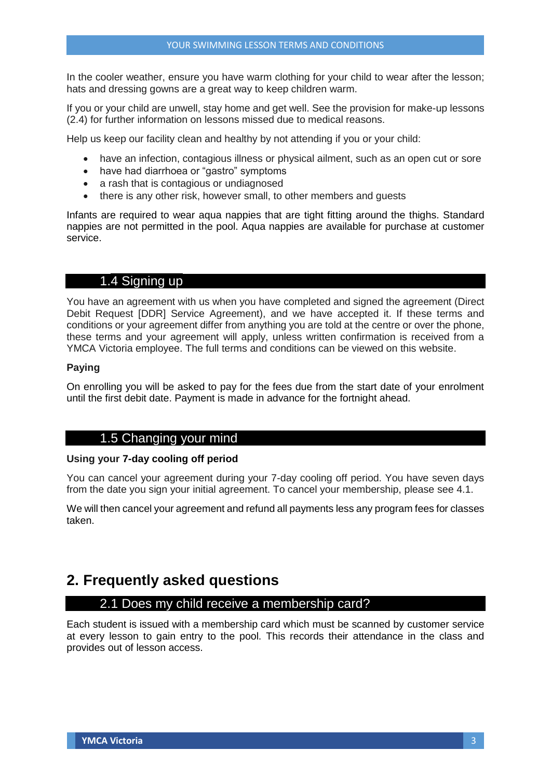In the cooler weather, ensure you have warm clothing for your child to wear after the lesson; hats and dressing gowns are a great way to keep children warm.

If you or your child are unwell, stay home and get well. See the provision for make-up lessons (2.4) for further information on lessons missed due to medical reasons.

Help us keep our facility clean and healthy by not attending if you or your child:

- have an infection, contagious illness or physical ailment, such as an open cut or sore
- have had diarrhoea or "gastro" symptoms
- a rash that is contagious or undiagnosed
- there is any other risk, however small, to other members and quests

Infants are required to wear aqua nappies that are tight fitting around the thighs. Standard nappies are not permitted in the pool. Aqua nappies are available for purchase at customer service.

## 1.4 Signing up

You have an agreement with us when you have completed and signed the agreement (Direct Debit Request [DDR] Service Agreement), and we have accepted it. If these terms and conditions or your agreement differ from anything you are told at the centre or over the phone, these terms and your agreement will apply, unless written confirmation is received from a YMCA Victoria employee. The full terms and conditions can be viewed on this website.

## **Paying**

On enrolling you will be asked to pay for the fees due from the start date of your enrolment until the first debit date. Payment is made in advance for the fortnight ahead.

## 1.5 Changing your mind

## **Using your 7-day cooling off period**

You can cancel your agreement during your 7-day cooling off period. You have seven days from the date you sign your initial agreement. To cancel your membership, please see 4.1.

We will then cancel your agreement and refund all payments less any program fees for classes taken.

# **2. Frequently asked questions**

## 2.1 Does my child receive a membership card?

Each student is issued with a membership card which must be scanned by customer service at every lesson to gain entry to the pool. This records their attendance in the class and provides out of lesson access.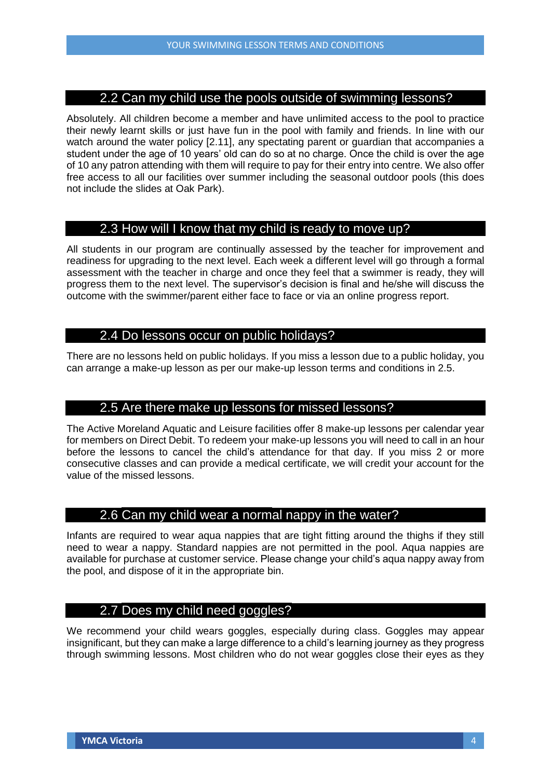## 2.2 Can my child use the pools outside of swimming lessons?

Absolutely. All children become a member and have unlimited access to the pool to practice their newly learnt skills or just have fun in the pool with family and friends. In line with our watch around the water policy [2.11], any spectating parent or guardian that accompanies a student under the age of 10 years' old can do so at no charge. Once the child is over the age of 10 any patron attending with them will require to pay for their entry into centre. We also offer free access to all our facilities over summer including the seasonal outdoor pools (this does not include the slides at Oak Park).

## 2.3 How will I know that my child is ready to move up?

All students in our program are continually assessed by the teacher for improvement and readiness for upgrading to the next level. Each week a different level will go through a formal assessment with the teacher in charge and once they feel that a swimmer is ready, they will progress them to the next level. The supervisor's decision is final and he/she will discuss the outcome with the swimmer/parent either face to face or via an online progress report.

## 2.4 Do lessons occur on public holidays?

There are no lessons held on public holidays. If you miss a lesson due to a public holiday, you can arrange a make-up lesson as per our make-up lesson terms and conditions in 2.5.

## 2.5 Are there make up lessons for missed lessons?

The Active Moreland Aquatic and Leisure facilities offer 8 make-up lessons per calendar year for members on Direct Debit. To redeem your make-up lessons you will need to call in an hour before the lessons to cancel the child's attendance for that day. If you miss 2 or more consecutive classes and can provide a medical certificate, we will credit your account for the value of the missed lessons.

## 2.6 Can my child wear a normal nappy in the water?

Infants are required to wear aqua nappies that are tight fitting around the thighs if they still need to wear a nappy. Standard nappies are not permitted in the pool. Aqua nappies are available for purchase at customer service. Please change your child's aqua nappy away from the pool, and dispose of it in the appropriate bin.

## 2.7 Does my child need goggles?

We recommend your child wears goggles, especially during class. Goggles may appear insignificant, but they can make a large difference to a child's learning journey as they progress through swimming lessons. Most children who do not wear goggles close their eyes as they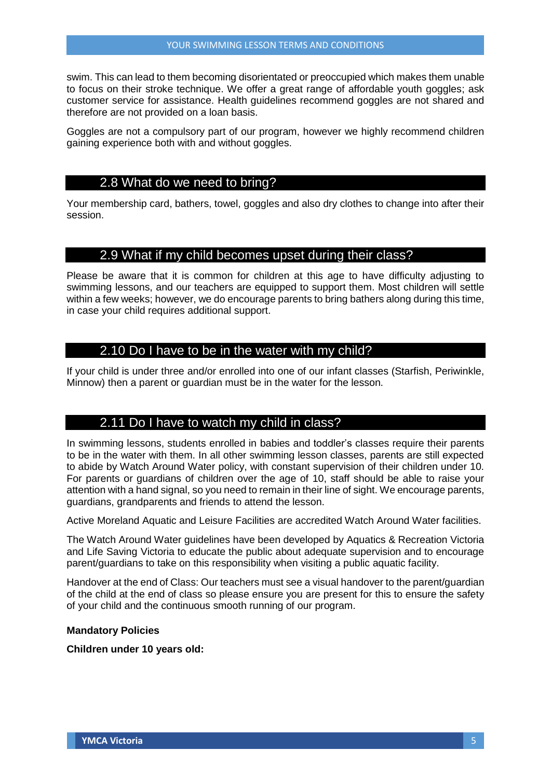swim. This can lead to them becoming disorientated or preoccupied which makes them unable to focus on their stroke technique. We offer a great range of affordable youth goggles; ask customer service for assistance. Health guidelines recommend goggles are not shared and therefore are not provided on a loan basis.

Goggles are not a compulsory part of our program, however we highly recommend children gaining experience both with and without goggles.

## 2.8 What do we need to bring?

Your membership card, bathers, towel, goggles and also dry clothes to change into after their session.

## 2.9 What if my child becomes upset during their class?

Please be aware that it is common for children at this age to have difficulty adjusting to swimming lessons, and our teachers are equipped to support them. Most children will settle within a few weeks; however, we do encourage parents to bring bathers along during this time, in case your child requires additional support.

## 2.10 Do I have to be in the water with my child?

If your child is under three and/or enrolled into one of our infant classes (Starfish, Periwinkle, Minnow) then a parent or guardian must be in the water for the lesson.

## 2.11 Do I have to watch my child in class?

In swimming lessons, students enrolled in babies and toddler's classes require their parents to be in the water with them. In all other swimming lesson classes, parents are still expected to abide by Watch Around Water policy, with constant supervision of their children under 10. For parents or guardians of children over the age of 10, staff should be able to raise your attention with a hand signal, so you need to remain in their line of sight. We encourage parents, guardians, grandparents and friends to attend the lesson.

Active Moreland Aquatic and Leisure Facilities are accredited Watch Around Water facilities.

The Watch Around Water guidelines have been developed by Aquatics & Recreation Victoria and Life Saving Victoria to educate the public about adequate supervision and to encourage parent/guardians to take on this responsibility when visiting a public aquatic facility.

Handover at the end of Class: Our teachers must see a visual handover to the parent/guardian of the child at the end of class so please ensure you are present for this to ensure the safety of your child and the continuous smooth running of our program.

## **Mandatory Policies**

#### **Children under 10 years old:**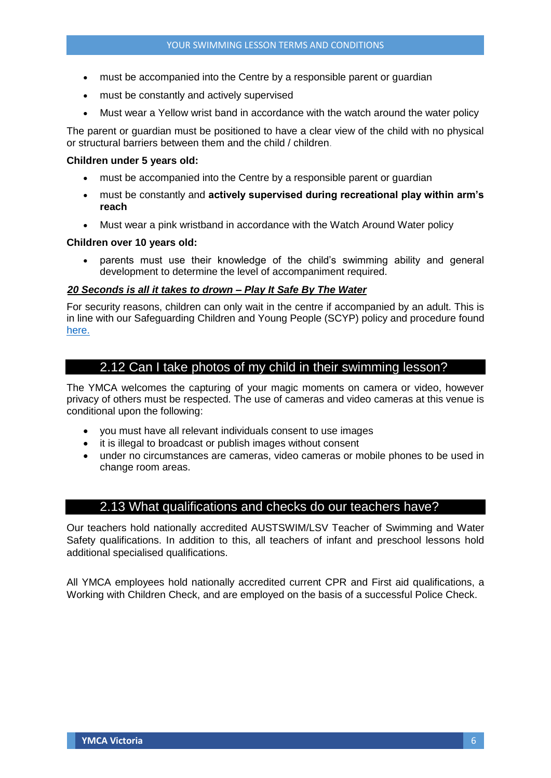- must be accompanied into the Centre by a responsible parent or guardian
- must be constantly and actively supervised
- Must wear a Yellow wrist band in accordance with the watch around the water policy

The parent or guardian must be positioned to have a clear view of the child with no physical or structural barriers between them and the child / children.

## **Children under 5 years old:**

- must be accompanied into the Centre by a responsible parent or guardian
- must be constantly and **actively supervised during recreational play within arm's reach**
- Must wear a pink wristband in accordance with the Watch Around Water policy

## **Children over 10 years old:**

 parents must use their knowledge of the child's swimming ability and general development to determine the level of accompaniment required.

## <sup>U</sup>*20 Seconds is all it takes to drown – Play It Safe By The Water*

For security reasons, children can only wait in the centre if accompanied by an adult. This is in line with our Safeguarding Children and Young People (SCYP) policy and procedure found [here.](http://victoria.ymca.org.au/privacy-policy/safeguarding-children.html)

## 2.12 Can I take photos of my child in their swimming lesson?

The YMCA welcomes the capturing of your magic moments on camera or video, however privacy of others must be respected. The use of cameras and video cameras at this venue is conditional upon the following:

- you must have all relevant individuals consent to use images
- it is illegal to broadcast or publish images without consent
- under no circumstances are cameras, video cameras or mobile phones to be used in change room areas.

## 2.13 What qualifications and checks do our teachers have?

Our teachers hold nationally accredited AUSTSWIM/LSV Teacher of Swimming and Water Safety qualifications. In addition to this, all teachers of infant and preschool lessons hold additional specialised qualifications.

All YMCA employees hold nationally accredited current CPR and First aid qualifications, a Working with Children Check, and are employed on the basis of a successful Police Check.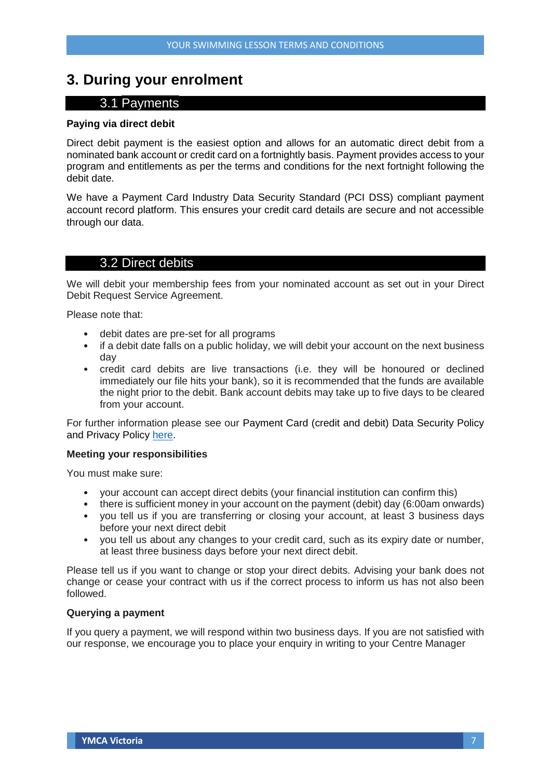# **3. During your enrolment**

## 3.1 Payments

#### **Paying via direct debit**

Direct debit payment is the easiest option and allows for an automatic direct debit from a nominated bank account or credit card on a fortnightly basis. Payment provides access to your program and entitlements as per the terms and conditions for the next fortnight following the debit date.

We have a Payment Card Industry Data Security Standard (PCI DSS) compliant payment account record platform. This ensures your credit card details are secure and not accessible through our data.

## 3.2 Direct debits

We will debit your membership fees from your nominated account as set out in your Direct Debit Request Service Agreement.

Please note that:

- debit dates are pre-set for all programs
- if a debit date falls on a public holiday, we will debit your account on the next business day
- credit card debits are live transactions (i.e. they will be honoured or declined immediately our file hits your bank), so it is recommended that the funds are available the night prior to the debit. Bank account debits may take up to five days to be cleared from your account.

For further information please see our Payment Card (credit and debit) Data Security Policy and Privacy Policy [here.](http://victoria.ymca.org.au/privacy-policy.html)

#### **Meeting your responsibilities**

You must make sure:

- your account can accept direct debits (your financial institution can confirm this)
- there is sufficient money in your account on the payment (debit) day (6:00am onwards)
- you tell us if you are transferring or closing your account, at least 3 business days before your next direct debit
- you tell us about any changes to your credit card, such as its expiry date or number, at least three business days before your next direct debit.

Please tell us if you want to change or stop your direct debits. Advising your bank does not change or cease your contract with us if the correct process to inform us has not also been followed.

## **Querying a payment**

If you query a payment, we will respond within two business days. If you are not satisfied with our response, we encourage you to place your enquiry in writing to your Centre Manager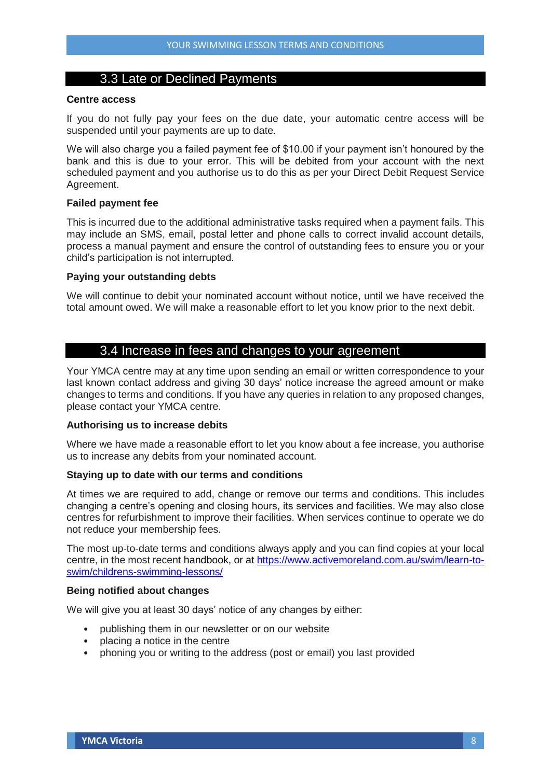## 3.3 Late or Declined Payments

## **Centre access**

If you do not fully pay your fees on the due date, your automatic centre access will be suspended until your payments are up to date.

We will also charge you a failed payment fee of \$10.00 if your payment isn't honoured by the bank and this is due to your error. This will be debited from your account with the next scheduled payment and you authorise us to do this as per your Direct Debit Request Service Agreement.

#### **Failed payment fee**

This is incurred due to the additional administrative tasks required when a payment fails. This may include an SMS, email, postal letter and phone calls to correct invalid account details, process a manual payment and ensure the control of outstanding fees to ensure you or your child's participation is not interrupted.

#### **Paying your outstanding debts**

We will continue to debit your nominated account without notice, until we have received the total amount owed. We will make a reasonable effort to let you know prior to the next debit.

## 3.4 Increase in fees and changes to your agreement

Your YMCA centre may at any time upon sending an email or written correspondence to your last known contact address and giving 30 days' notice increase the agreed amount or make changes to terms and conditions. If you have any queries in relation to any proposed changes, please contact your YMCA centre.

#### **Authorising us to increase debits**

Where we have made a reasonable effort to let you know about a fee increase, you authorise us to increase any debits from your nominated account.

#### **Staying up to date with our terms and conditions**

At times we are required to add, change or remove our terms and conditions. This includes changing a centre's opening and closing hours, its services and facilities. We may also close centres for refurbishment to improve their facilities. When services continue to operate we do not reduce your membership fees.

The most up-to-date terms and conditions always apply and you can find copies at your local centre, in the most recent handbook, or at [https://www.activemoreland.com.au/swim/learn-to](https://www.activemoreland.com.au/swim/learn-to-swim/childrens-swimming-lessons/)[swim/childrens-swimming-lessons/](https://www.activemoreland.com.au/swim/learn-to-swim/childrens-swimming-lessons/)

#### **Being notified about changes**

We will give you at least 30 days' notice of any changes by either:

- publishing them in our newsletter or on our website
- placing a notice in the centre
- phoning you or writing to the address (post or email) you last provided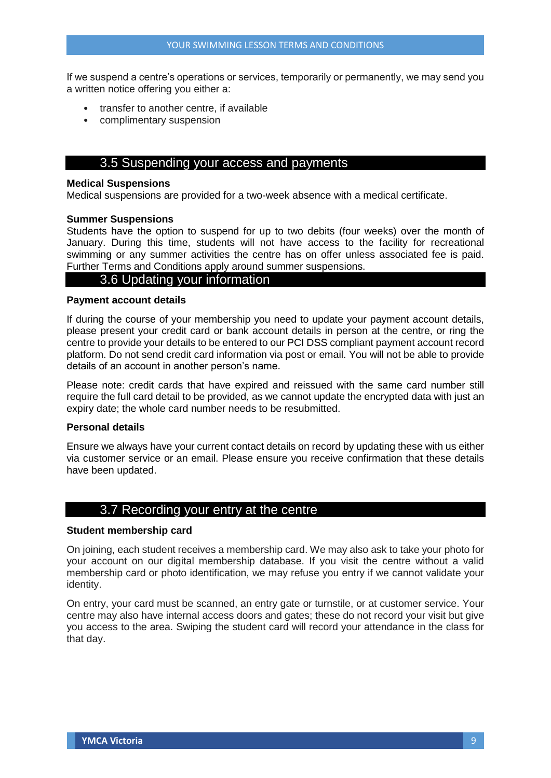If we suspend a centre's operations or services, temporarily or permanently, we may send you a written notice offering you either a:

- transfer to another centre, if available
- complimentary suspension

## 3.5 Suspending your access and payments

#### **Medical Suspensions**

Medical suspensions are provided for a two-week absence with a medical certificate.

#### **Summer Suspensions**

Students have the option to suspend for up to two debits (four weeks) over the month of January. During this time, students will not have access to the facility for recreational swimming or any summer activities the centre has on offer unless associated fee is paid. Further Terms and Conditions apply around summer suspensions.

## 3.6 Updating your information

#### **Payment account details**

If during the course of your membership you need to update your payment account details, please present your credit card or bank account details in person at the centre, or ring the centre to provide your details to be entered to our PCI DSS compliant payment account record platform. Do not send credit card information via post or email. You will not be able to provide details of an account in another person's name.

Please note: credit cards that have expired and reissued with the same card number still require the full card detail to be provided, as we cannot update the encrypted data with just an expiry date; the whole card number needs to be resubmitted.

#### **Personal details**

Ensure we always have your current contact details on record by updating these with us either via customer service or an email. Please ensure you receive confirmation that these details have been updated.

## 3.7 Recording your entry at the centre

#### **Student membership card**

On joining, each student receives a membership card. We may also ask to take your photo for your account on our digital membership database. If you visit the centre without a valid membership card or photo identification, we may refuse you entry if we cannot validate your identity.

On entry, your card must be scanned, an entry gate or turnstile, or at customer service. Your centre may also have internal access doors and gates; these do not record your visit but give you access to the area. Swiping the student card will record your attendance in the class for that day.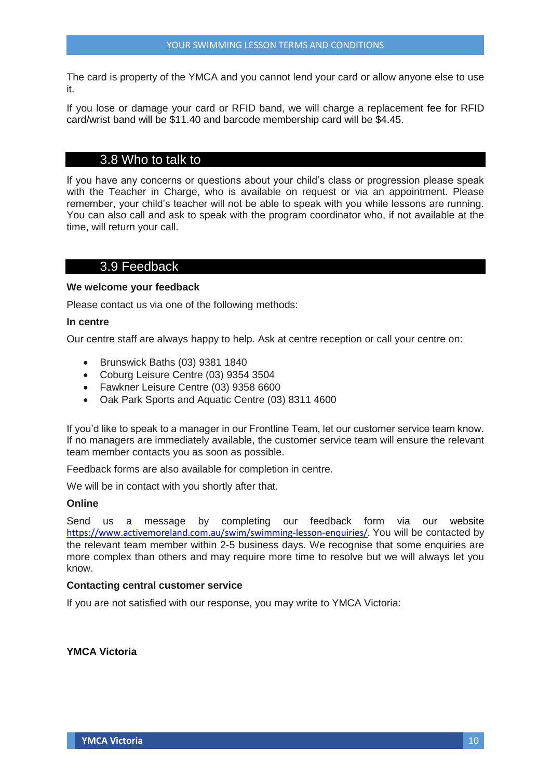The card is property of the YMCA and you cannot lend your card or allow anyone else to use it.

If you lose or damage your card or RFID band, we will charge a replacement fee for RFID card/wrist band will be \$11.40 and barcode membership card will be \$4.45.

## 3.8 Who to talk to

If you have any concerns or questions about your child's class or progression please speak with the Teacher in Charge, who is available on request or via an appointment. Please remember, your child's teacher will not be able to speak with you while lessons are running. You can also call and ask to speak with the program coordinator who, if not available at the time, will return your call.

## 3.9 Feedback

#### **We welcome your feedback**

Please contact us via one of the following methods:

#### **In centre**

Our centre staff are always happy to help. Ask at centre reception or call your centre on:

- Brunswick Baths (03) 9381 1840
- Coburg Leisure Centre (03) 9354 3504
- Fawkner Leisure Centre (03) 9358 6600
- Oak Park Sports and Aquatic Centre (03) 8311 4600

If you'd like to speak to a manager in our Frontline Team, let our customer service team know. If no managers are immediately available, the customer service team will ensure the relevant team member contacts you as soon as possible.

Feedback forms are also available for completion in centre.

We will be in contact with you shortly after that.

#### **Online**

Send us a message by completing our feedback form via our website [https://www.activemoreland.com.au/swim/swimming-lesson-enquiries/.](https://www.activemoreland.com.au/swim/swimming-lesson-enquiries/) You will be contacted by the relevant team member within 2-5 business days. We recognise that some enquiries are more complex than others and may require more time to resolve but we will always let you know.

#### **Contacting central customer service**

If you are not satisfied with our response, you may write to YMCA Victoria:

## **YMCA Victoria**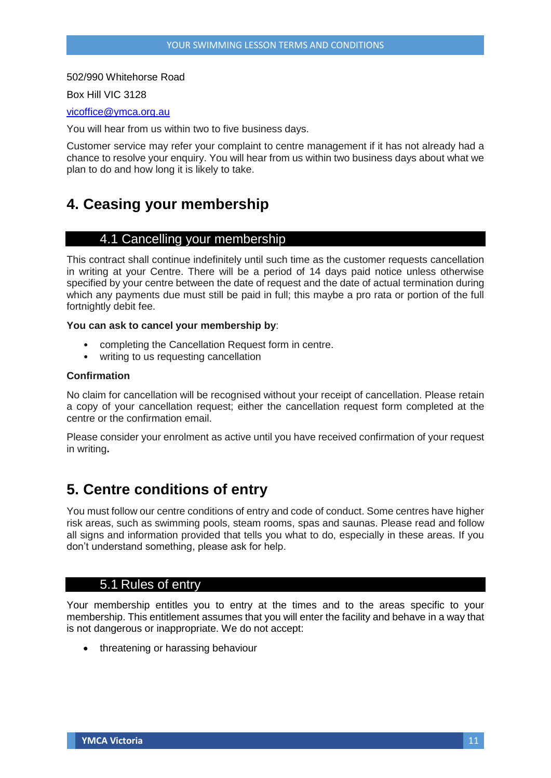#### 502/990 Whitehorse Road

Box Hill VIC 3128

#### [vicoffice@ymca.org.au](mailto:vicoffice@ymca.org.au)

You will hear from us within two to five business days.

Customer service may refer your complaint to centre management if it has not already had a chance to resolve your enquiry. You will hear from us within two business days about what we plan to do and how long it is likely to take.

# **4. Ceasing your membership**

## 4.1 Cancelling your membership

This contract shall continue indefinitely until such time as the customer requests cancellation in writing at your Centre. There will be a period of 14 days paid notice unless otherwise specified by your centre between the date of request and the date of actual termination during which any payments due must still be paid in full; this maybe a pro rata or portion of the full fortnightly debit fee.

## **You can ask to cancel your membership by**:

- completing the Cancellation Request form in centre.
- writing to us requesting cancellation

#### **Confirmation**

No claim for cancellation will be recognised without your receipt of cancellation. Please retain a copy of your cancellation request; either the cancellation request form completed at the centre or the confirmation email.

Please consider your enrolment as active until you have received confirmation of your request in writing**.**

# **5. Centre conditions of entry**

You must follow our centre conditions of entry and code of conduct. Some centres have higher risk areas, such as swimming pools, steam rooms, spas and saunas. Please read and follow all signs and information provided that tells you what to do, especially in these areas. If you don't understand something, please ask for help.

## 5.1 Rules of entry

Your membership entitles you to entry at the times and to the areas specific to your membership. This entitlement assumes that you will enter the facility and behave in a way that is not dangerous or inappropriate. We do not accept:

• threatening or harassing behaviour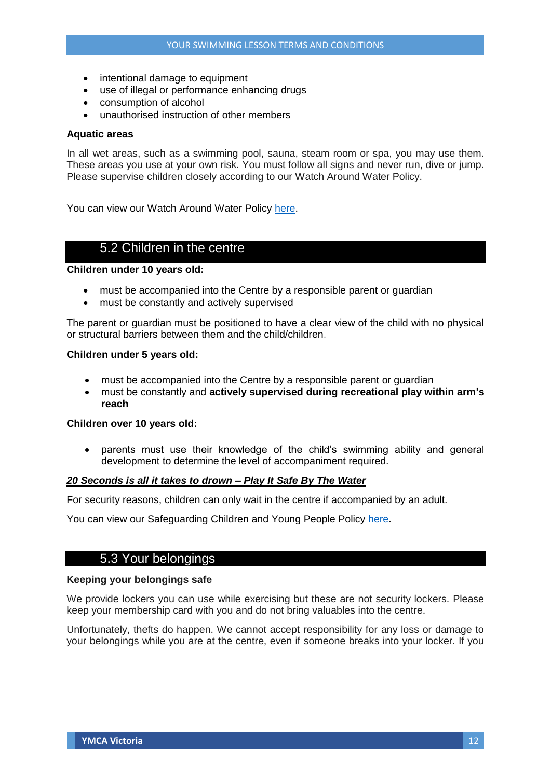- intentional damage to equipment
- use of illegal or performance enhancing drugs
- consumption of alcohol
- unauthorised instruction of other members

#### **Aquatic areas**

In all wet areas, such as a swimming pool, sauna, steam room or spa, you may use them. These areas you use at your own risk. You must follow all signs and never run, dive or jump. Please supervise children closely according to our Watch Around Water Policy.

You can view our Watch Around Water Policy [here.](https://lsv.com.au/pool-safety-services/watch-around-water/)

## 5.2 Children in the centre

**Children under 10 years old:**

- must be accompanied into the Centre by a responsible parent or guardian
- must be constantly and actively supervised

The parent or guardian must be positioned to have a clear view of the child with no physical or structural barriers between them and the child/children.

#### **Children under 5 years old:**

- must be accompanied into the Centre by a responsible parent or guardian
- must be constantly and **actively supervised during recreational play within arm's reach**

## **Children over 10 years old:**

 parents must use their knowledge of the child's swimming ability and general development to determine the level of accompaniment required.

## *20 Seconds is all it takes to drown – Play It Safe By The Water*

For security reasons, children can only wait in the centre if accompanied by an adult.

You can view our Safeguarding Children and Young People Policy [here.](http://victoria.ymca.org.au/privacy-policy.html)

## 5.3 Your belongings

## **Keeping your belongings safe**

We provide lockers you can use while exercising but these are not security lockers. Please keep your membership card with you and do not bring valuables into the centre.

Unfortunately, thefts do happen. We cannot accept responsibility for any loss or damage to your belongings while you are at the centre, even if someone breaks into your locker. If you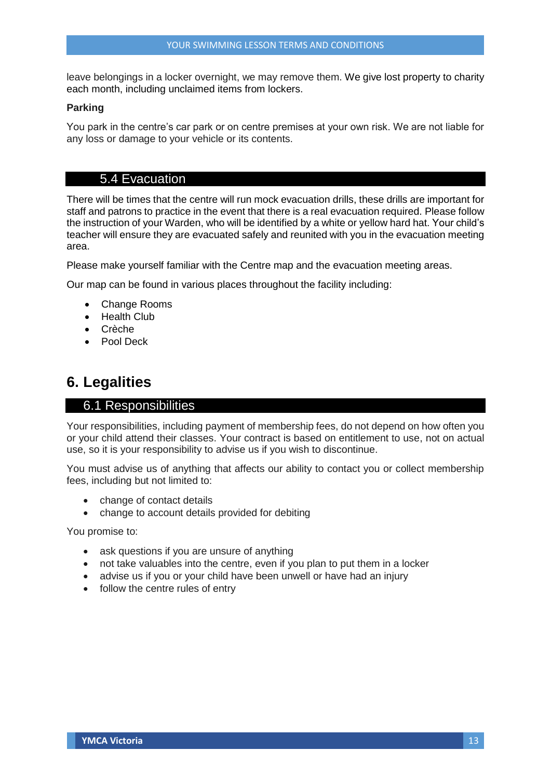leave belongings in a locker overnight, we may remove them. We give lost property to charity each month, including unclaimed items from lockers.

#### **Parking**

You park in the centre's car park or on centre premises at your own risk. We are not liable for any loss or damage to your vehicle or its contents.

## 5.4 Evacuation

There will be times that the centre will run mock evacuation drills, these drills are important for staff and patrons to practice in the event that there is a real evacuation required. Please follow the instruction of your Warden, who will be identified by a white or yellow hard hat. Your child's teacher will ensure they are evacuated safely and reunited with you in the evacuation meeting area.

Please make yourself familiar with the Centre map and the evacuation meeting areas.

Our map can be found in various places throughout the facility including:

- Change Rooms
- Health Club
- Crèche
- Pool Deck

## **6. Legalities**

## 6.1 Responsibilities

Your responsibilities, including payment of membership fees, do not depend on how often you or your child attend their classes. Your contract is based on entitlement to use, not on actual use, so it is your responsibility to advise us if you wish to discontinue.

You must advise us of anything that affects our ability to contact you or collect membership fees, including but not limited to:

- change of contact details
- change to account details provided for debiting

You promise to:

- ask questions if you are unsure of anything
- not take valuables into the centre, even if you plan to put them in a locker
- advise us if you or your child have been unwell or have had an injury
- follow the centre rules of entry